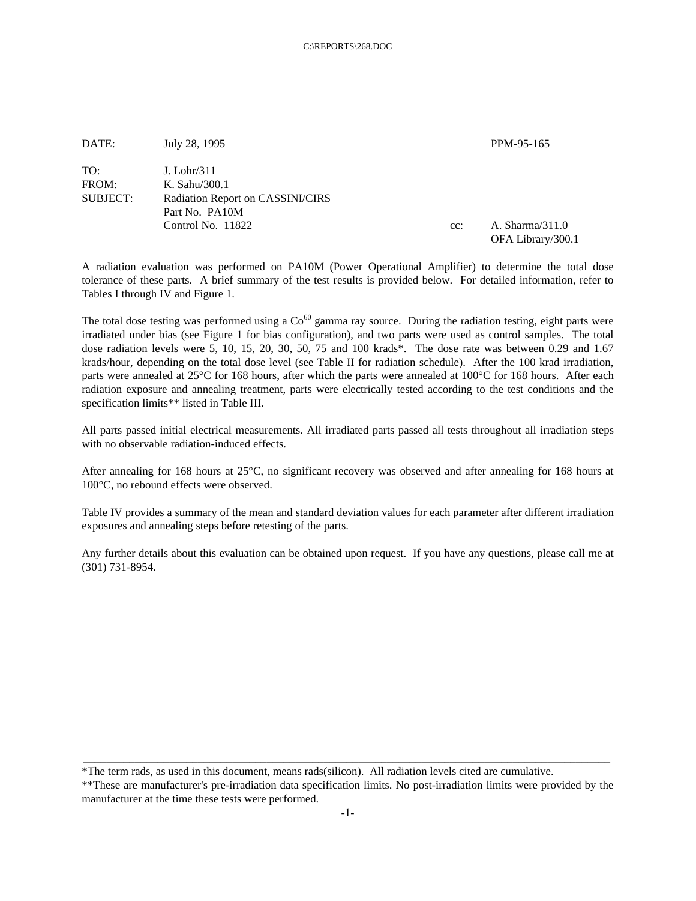| DATE:                    | July 28, 1995                                                      |        | PPM-95-165        |
|--------------------------|--------------------------------------------------------------------|--------|-------------------|
| TO:<br>FROM:<br>SUBJECT: | $J.$ Lohr/311<br>K. Sahu/300.1<br>Radiation Report on CASSINI/CIRS |        |                   |
|                          | Part No. PA10M<br>Control No. 11822                                | $cc$ : | A. Sharma/311.0   |
|                          |                                                                    |        | OFA Library/300.1 |

A radiation evaluation was performed on PA10M (Power Operational Amplifier) to determine the total dose tolerance of these parts. A brief summary of the test results is provided below. For detailed information, refer to Tables I through IV and Figure 1.

The total dose testing was performed using a  $Co^{60}$  gamma ray source. During the radiation testing, eight parts were irradiated under bias (see Figure 1 for bias configuration), and two parts were used as control samples. The total dose radiation levels were 5, 10, 15, 20, 30, 50, 75 and 100 krads\*. The dose rate was between 0.29 and 1.67 krads/hour, depending on the total dose level (see Table II for radiation schedule). After the 100 krad irradiation, parts were annealed at 25°C for 168 hours, after which the parts were annealed at 100°C for 168 hours. After each radiation exposure and annealing treatment, parts were electrically tested according to the test conditions and the specification limits\*\* listed in Table III.

All parts passed initial electrical measurements. All irradiated parts passed all tests throughout all irradiation steps with no observable radiation-induced effects.

After annealing for 168 hours at 25°C, no significant recovery was observed and after annealing for 168 hours at 100°C, no rebound effects were observed.

Table IV provides a summary of the mean and standard deviation values for each parameter after different irradiation exposures and annealing steps before retesting of the parts.

Any further details about this evaluation can be obtained upon request. If you have any questions, please call me at (301) 731-8954.

\*The term rads, as used in this document, means rads(silicon). All radiation levels cited are cumulative.

\*\*These are manufacturer's pre-irradiation data specification limits. No post-irradiation limits were provided by the manufacturer at the time these tests were performed.

\_\_\_\_\_\_\_\_\_\_\_\_\_\_\_\_\_\_\_\_\_\_\_\_\_\_\_\_\_\_\_\_\_\_\_\_\_\_\_\_\_\_\_\_\_\_\_\_\_\_\_\_\_\_\_\_\_\_\_\_\_\_\_\_\_\_\_\_\_\_\_\_\_\_\_\_\_\_\_\_\_\_\_\_\_\_\_\_\_\_\_\_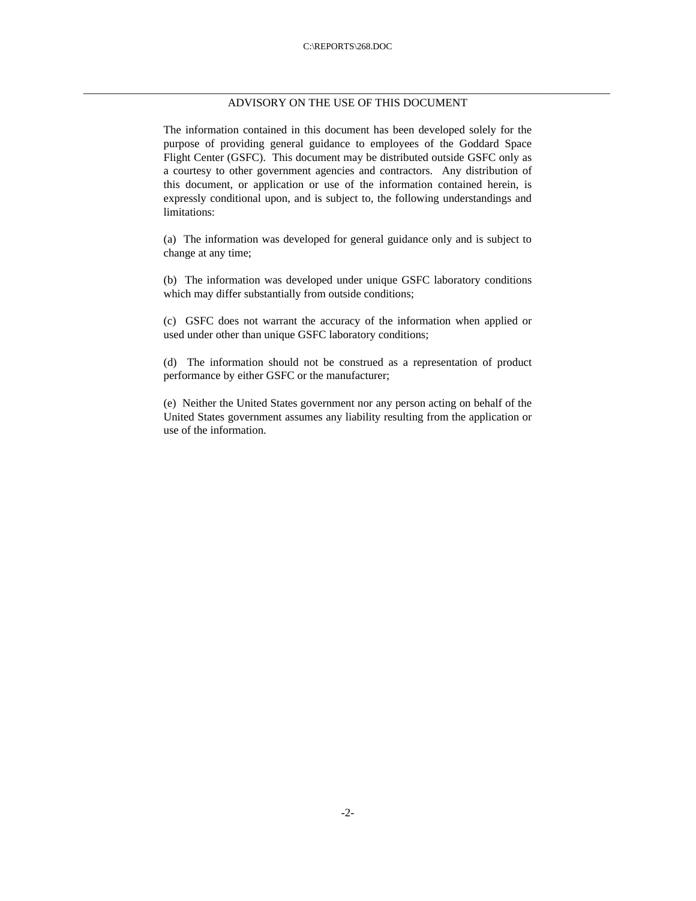## \_\_\_\_\_\_\_\_\_\_\_\_\_\_\_\_\_\_\_\_\_\_\_\_\_\_\_\_\_\_\_\_\_\_\_\_\_\_\_\_\_\_\_\_\_\_\_\_\_\_\_\_\_\_\_\_\_\_\_\_\_\_\_\_\_\_\_\_\_\_\_\_\_\_\_\_\_\_\_\_\_\_\_\_\_\_\_\_\_\_\_\_ ADVISORY ON THE USE OF THIS DOCUMENT

The information contained in this document has been developed solely for the purpose of providing general guidance to employees of the Goddard Space Flight Center (GSFC). This document may be distributed outside GSFC only as a courtesy to other government agencies and contractors. Any distribution of this document, or application or use of the information contained herein, is expressly conditional upon, and is subject to, the following understandings and limitations:

(a) The information was developed for general guidance only and is subject to change at any time;

(b) The information was developed under unique GSFC laboratory conditions which may differ substantially from outside conditions;

(c) GSFC does not warrant the accuracy of the information when applied or used under other than unique GSFC laboratory conditions;

(d) The information should not be construed as a representation of product performance by either GSFC or the manufacturer;

(e) Neither the United States government nor any person acting on behalf of the United States government assumes any liability resulting from the application or use of the information.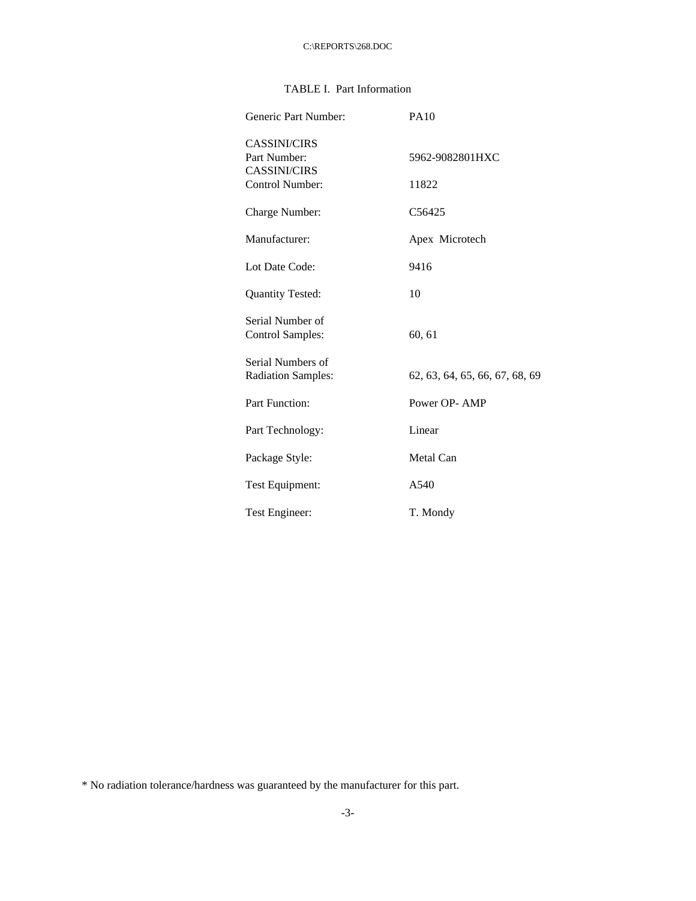## TABLE I. Part Information

| Generic Part Number:                           | <b>PA10</b>                    |
|------------------------------------------------|--------------------------------|
| <b>CASSINI/CIRS</b><br>Part Number:            | 5962-9082801HXC                |
| CASSINI/CIRS<br>Control Number:                | 11822                          |
| Charge Number:                                 | C <sub>56425</sub>             |
| Manufacturer:                                  | Apex Microtech                 |
| Lot Date Code:                                 | 9416                           |
| <b>Quantity Tested:</b>                        | 10                             |
| Serial Number of<br>Control Samples:           | 60, 61                         |
| Serial Numbers of<br><b>Radiation Samples:</b> | 62, 63, 64, 65, 66, 67, 68, 69 |
| <b>Part Function:</b>                          | Power OP-AMP                   |
| Part Technology:                               | Linear                         |
| Package Style:                                 | Metal Can                      |
| Test Equipment:                                | A540                           |
| Test Engineer:                                 | T. Mondy                       |

<sup>\*</sup> No radiation tolerance/hardness was guaranteed by the manufacturer for this part.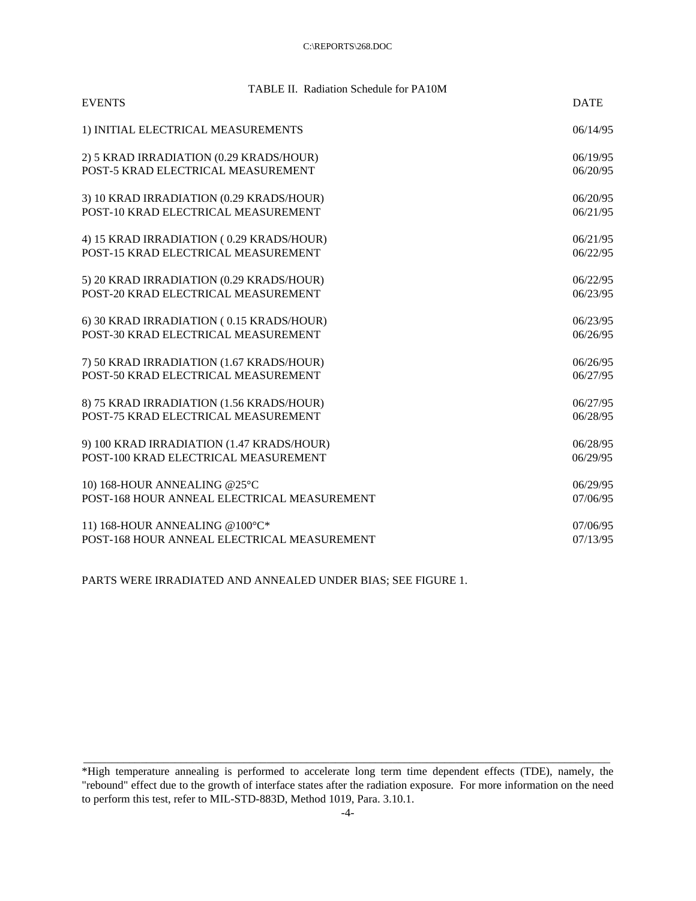| TABLE II. Radiation Schedule for PA10M      |             |
|---------------------------------------------|-------------|
| <b>EVENTS</b>                               | <b>DATE</b> |
| 1) INITIAL ELECTRICAL MEASUREMENTS          | 06/14/95    |
| 2) 5 KRAD IRRADIATION (0.29 KRADS/HOUR)     | 06/19/95    |
| POST-5 KRAD ELECTRICAL MEASUREMENT          | 06/20/95    |
| 3) 10 KRAD IRRADIATION (0.29 KRADS/HOUR)    | 06/20/95    |
| POST-10 KRAD ELECTRICAL MEASUREMENT         | 06/21/95    |
| 4) 15 KRAD IRRADIATION (0.29 KRADS/HOUR)    | 06/21/95    |
| POST-15 KRAD ELECTRICAL MEASUREMENT         | 06/22/95    |
| 5) 20 KRAD IRRADIATION (0.29 KRADS/HOUR)    | 06/22/95    |
| POST-20 KRAD ELECTRICAL MEASUREMENT         | 06/23/95    |
|                                             |             |
| 6) 30 KRAD IRRADIATION (0.15 KRADS/HOUR)    | 06/23/95    |
| POST-30 KRAD ELECTRICAL MEASUREMENT         | 06/26/95    |
| 7) 50 KRAD IRRADIATION (1.67 KRADS/HOUR)    | 06/26/95    |
| POST-50 KRAD ELECTRICAL MEASUREMENT         | 06/27/95    |
| 8) 75 KRAD IRRADIATION (1.56 KRADS/HOUR)    | 06/27/95    |
| POST-75 KRAD ELECTRICAL MEASUREMENT         | 06/28/95    |
| 9) 100 KRAD IRRADIATION (1.47 KRADS/HOUR)   | 06/28/95    |
| POST-100 KRAD ELECTRICAL MEASUREMENT        | 06/29/95    |
|                                             |             |
| 10) 168-HOUR ANNEALING @25°C                | 06/29/95    |
| POST-168 HOUR ANNEAL ELECTRICAL MEASUREMENT | 07/06/95    |
| 11) 168-HOUR ANNEALING @100°C*              | 07/06/95    |
| POST-168 HOUR ANNEAL ELECTRICAL MEASUREMENT | 07/13/95    |

PARTS WERE IRRADIATED AND ANNEALED UNDER BIAS; SEE FIGURE 1.

\_\_\_\_\_\_\_\_\_\_\_\_\_\_\_\_\_\_\_\_\_\_\_\_\_\_\_\_\_\_\_\_\_\_\_\_\_\_\_\_\_\_\_\_\_\_\_\_\_\_\_\_\_\_\_\_\_\_\_\_\_\_\_\_\_\_\_\_\_\_\_\_\_\_\_\_\_\_\_\_\_\_\_\_\_\_\_\_\_\_\_\_

<sup>\*</sup>High temperature annealing is performed to accelerate long term time dependent effects (TDE), namely, the "rebound" effect due to the growth of interface states after the radiation exposure. For more information on the need to perform this test, refer to MIL-STD-883D, Method 1019, Para. 3.10.1.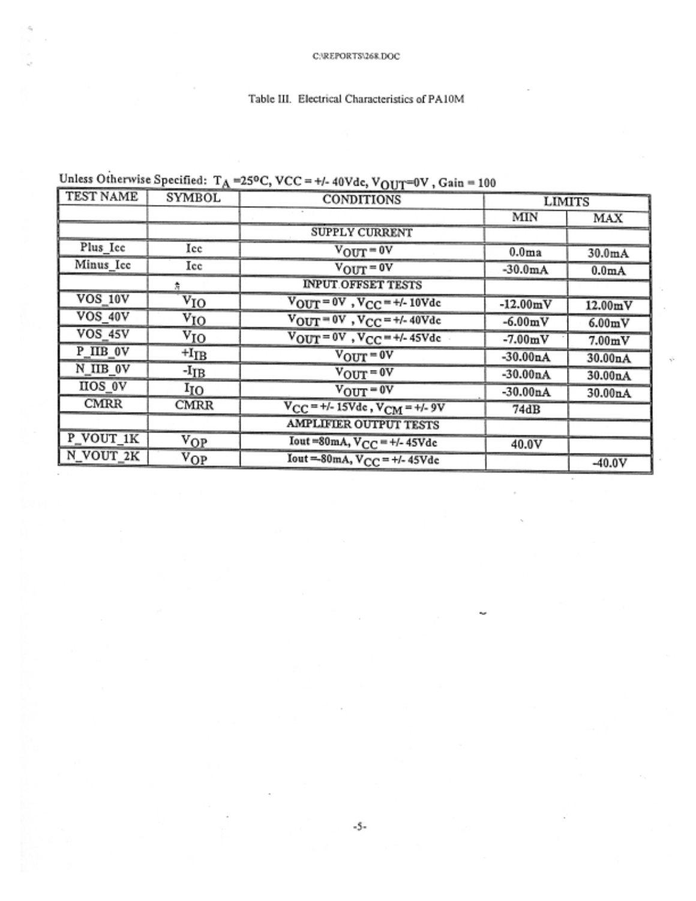| TEST NAME      |                  | $\cdot$ . $\cdot$                                    |                   |                     |
|----------------|------------------|------------------------------------------------------|-------------------|---------------------|
|                | <b>SYMBOL</b>    | <b>CONDITIONS</b>                                    |                   | <b>LIMITS</b>       |
|                |                  |                                                      | MIN               | MAX                 |
|                |                  | <b>SUPPLY CURRENT</b>                                |                   |                     |
| Plus_Icc       | Icc              | $V_{\text{OUT}} = 0V$                                | 0.0 <sub>ma</sub> | 30.0 <sub>m</sub> A |
| Minus Icc      | Icc              | $V_{\text{OUT}} = 0V$                                | $-30.0mA$         | 0.0 <sub>m</sub> A  |
|                | 춙                | <b>INPUT OFFSET TESTS</b>                            |                   |                     |
| <b>VOS 10V</b> | $\rm v_{IO}$     | $V_{\text{OUT}} = 0V$ , $V_{\text{CC}} = +/- 10V$ de | $-12.00mV$        | 12.00mV             |
| VOS 40V        | $\rm v_{IO}$     | $V_{OUT} = 0V$ , $V_{CC} = +/- 40V$ dc               | $-6.00 \text{mV}$ | 6.00mV              |
| <b>VOS 45V</b> | $\rm v_{IO}$     | $V_{OUT} = 0V$ , $V_{CC} = +/- 45V_{dc}$             | $-7.00mV$         | 7.00mV              |
| P IIB 0V       | $+I_{IB}$        | $V_{\text{OUT}} = 0V$                                | $-30.00nA$        | 30.00nA             |
| N_IIB 0V       | -I <sub>IB</sub> | $V_{\text{OUT}} = 0V$                                | $-30.00nA$        | 30.00nA             |
| <b>HOS 0V</b>  | $I_{IO}$         | $V_{\text{OUT}} = 0V$                                | $-30.00nA$        | 30.00nA             |
| <b>CMRR</b>    | <b>CMRR</b>      | $V_{CC}$ = +/- 15Vde, $V_{CM}$ = +/- 9V              | 74dB              |                     |
|                |                  | <b>AMPLIFIER OUTPUT TESTS</b>                        |                   |                     |
| P_VOUT_1K      | $V_{OP}$         | Iout=80mA, $V_{CC} = +/- 45V$ dc                     | 40.0V             |                     |
| N_VOUT_2K      | $V_{OP}$         | Iout=80mA, $V_{CC}$ = +/-45Vdc                       |                   | $-40.0V$            |

## Unless Otherwise Specified:  $T_A$ =25°C, VCC = +/- 40Vdc, VOUT=0V, Gain = 100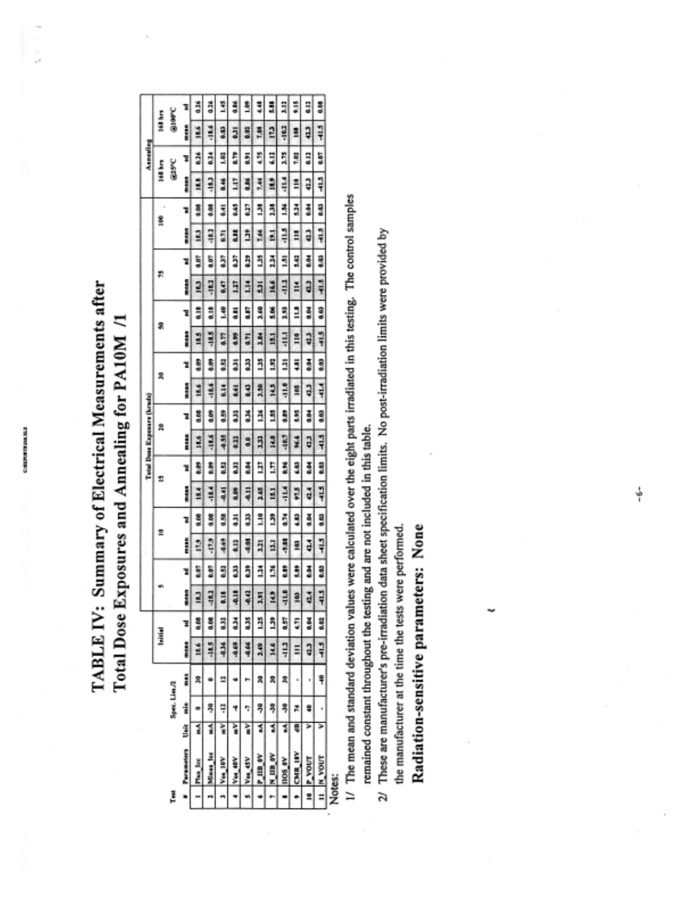COMPORTERANCE

i<br>S

## TABLE IV: Summary of Electrical Measurements after Total Dose Exposures and Annealing for PA10M /1

|   |                     |   |              |   |         |             |        |      |         |      |               |      | Total Dose Exposure (krada) |      |             |      |         |      |            |      |       |      |             | Annealing   |          |         |
|---|---------------------|---|--------------|---|---------|-------------|--------|------|---------|------|---------------|------|-----------------------------|------|-------------|------|---------|------|------------|------|-------|------|-------------|-------------|----------|---------|
|   |                     |   |              |   |         | leitiel     |        |      | Ż       |      | n             |      | g                           |      | ደ           |      | s       |      | 芯          |      | ŝ     |      | litt kn     |             | litt hrs |         |
| ě |                     |   | Spec. Lim./2 |   |         |             |        |      |         |      |               |      |                             |      |             |      |         |      |            |      |       |      | <b>GISC</b> |             | Glasc    |         |
|   | Parameters          | Ŝ | i            | i | į       |             | Į      | R    | å       | R    | Į             | Ľ    | i                           | é    | Ĩ           | Z    | į       | ¥    | i<br>Bitan | z    | Ĭ     | X    | i           | X           | i        | R       |
|   | Plus lee            | ī | ۰            | ੜ | 18.6    | a.ce        | 2      | ŝ    | 2       | 0.08 | ä             | ŝ    | N                           | 0.08 | 18.4        | \$   | 18.5    | a.is | 183        | â    | 2     | Š    | 18.8        | 836         | ă        | ã       |
|   | Mines lot           | ī | ş            |   | $-18.5$ |             | 83     | ŝ    | $-17.9$ | 0.08 | $-18.4$       | ŝ    | -1856                       | ĝ    | -18.6       | ŝ    | $-18.5$ | ů    | -18.2      | Ş    | -18.2 | ą    | <b>CRT</b>  | ã           | 18.6     | ã       |
|   | Voi 10V             | ì | á            | a | 436     | ä           | ã      | e.sa | 41.69   | ğ    | 40.41         | 84   | -4.55                       | å    | 8,14        | 3    | 4TP     | 3,40 | ti o       | â    | 631   | 2    | 8.46        | ŝ           | 9        | Ë       |
|   | Vol. 40V            | ì | 4            | Ý | -0.69   | ã           | Eil    | ĵ    | 2       | ã    | 0.09          | ã    | ij                          | ä    | 8,41        | ā    | 4.89    | ã    | 137        | ĵ    | 31    | 8,45 | Ë           | er 10       | ä        | ã       |
|   | Von 45V             | ì | ٢            |   | -0.66   | ğ           | 31     | រិ   | -0.05   | Ę    | 44.11         | 좋    | 9.0                         | ă    | 843         | 3    | 471     | ä    | ă          | ĝ    | ã     | ã    | 8d          | 8.91        | <b>B</b> | ŝ       |
|   | P IIB OV            | 3 | ş            | R | 3.49    | Ĕ           | 3.91   | ă    | 3,21    | å    | 3.65          | â    | Ŗ                           | Ĕ    | 3.50        | ï    | 14      | 3.60 | 5          | ŋ    | 蔷     | 3    | P.          | ij          | 1,88     | 3       |
|   | NIBOV               | 1 | ş            | R | 14.6    | ĵ           | ٩      | š    | 3       | ຶ້ງ  | 121           | 5    | 2                           | 3    | 2           | S    | 51      | š    | 16.6       | 11   | E     | ã    | 2           | ₿           | 2        | ã       |
|   | 1108 eV             | ī | ş            | R | 111     | å           | 3<br>7 | å    | -9.88   | č    | $\frac{1}{2}$ | 8.96 | -18.7                       | Ş    | $rac{1}{2}$ | Ē    | E       | ã    | 4112       | 5    | 4115  | 4    | H           | ŋ           | -1012    | H       |
|   | CMR <sub>LIBY</sub> | 5 | Z            | s | E       | Ş           | a      | ŝ    | 2       | 3    | 97.5          | ŝ    | ¥                           | Ş    | ä           | Ş    | m       | ⋣    | H          | 5.42 | m     | ã    | å           | ä           | ı        | ÷       |
| 2 | <b>P_VOUT</b>       | ⋗ | ş            | ł | ą       | ă           | 74     | š    | 424     | ğ    | đ             | 클    | ą                           | š    | ą           | š    | a       | ã    | ą          | š    | a     | 종    | ą           | ₿           | ą        | an<br>a |
| E | <b>IN YOUT</b>      | ⋝ | ٠            | ş | 7       | <b>0.02</b> | 7      | 3    | 7       | 8    | H             | CO/O | 7                           | 8.03 | 74          | 0.03 | 11      | a.ca | 41.5       | ą    | Į     | ere  | 4           | <b>Q.OT</b> | 7        | š       |
|   | Matan:              |   |              |   |         |             |        |      |         |      |               |      |                             |      |             |      |         |      |            |      |       |      |             |             |          |         |

Notes:

- 1/ The mean and standard deviation values were calculated over the eight parts irradiated in this testing. The control samples remained constant throughout the testing and are not included in this table.
	- 2/ These are manufacturer's pre-irradiation data sheet specification limits. No post-irradiation limits were provided by

the manufacturer at the time the tests were performed.

Radiation-sensitive parameters: None

÷